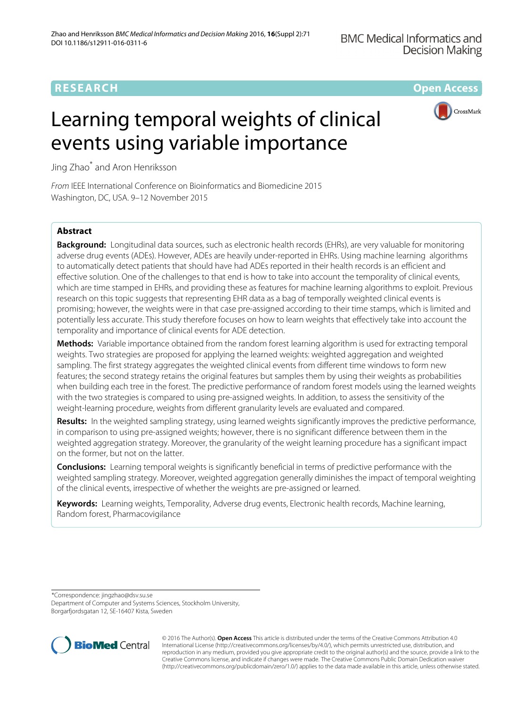## **RESEARCH Open Access**

CrossMark

# Learning temporal weights of clinical events using variable importance

Jing Zhao\* and Aron Henriksson

From IEEE International Conference on Bioinformatics and Biomedicine 2015 Washington, DC, USA. 9–12 November 2015

## **Abstract**

**Background:** Longitudinal data sources, such as electronic health records (EHRs), are very valuable for monitoring adverse drug events (ADEs). However, ADEs are heavily under-reported in EHRs. Using machine learning algorithms to automatically detect patients that should have had ADEs reported in their health records is an efficient and effective solution. One of the challenges to that end is how to take into account the temporality of clinical events, which are time stamped in EHRs, and providing these as features for machine learning algorithms to exploit. Previous research on this topic suggests that representing EHR data as a bag of temporally weighted clinical events is promising; however, the weights were in that case pre-assigned according to their time stamps, which is limited and potentially less accurate. This study therefore focuses on how to learn weights that effectively take into account the temporality and importance of clinical events for ADE detection.

**Methods:** Variable importance obtained from the random forest learning algorithm is used for extracting temporal weights. Two strategies are proposed for applying the learned weights: weighted aggregation and weighted sampling. The first strategy aggregates the weighted clinical events from different time windows to form new features; the second strategy retains the original features but samples them by using their weights as probabilities when building each tree in the forest. The predictive performance of random forest models using the learned weights with the two strategies is compared to using pre-assigned weights. In addition, to assess the sensitivity of the weight-learning procedure, weights from different granularity levels are evaluated and compared.

**Results:** In the weighted sampling strategy, using learned weights significantly improves the predictive performance, in comparison to using pre-assigned weights; however, there is no significant difference between them in the weighted aggregation strategy. Moreover, the granularity of the weight learning procedure has a significant impact on the former, but not on the latter.

**Conclusions:** Learning temporal weights is significantly beneficial in terms of predictive performance with the weighted sampling strategy. Moreover, weighted aggregation generally diminishes the impact of temporal weighting of the clinical events, irrespective of whether the weights are pre-assigned or learned.

**Keywords:** Learning weights, Temporality, Adverse drug events, Electronic health records, Machine learning, Random forest, Pharmacovigilance

\*Correspondence: [jingzhao@dsv.su.se](mailto: jingzhao@dsv.su.se)

Department of Computer and Systems Sciences, Stockholm University, Borgarfjordsgatan 12, SE-16407 Kista, Sweden



© 2016 The Author(s). **Open Access** This article is distributed under the terms of the Creative Commons Attribution 4.0 International License [\(http://creativecommons.org/licenses/by/4.0/\)](http://creativecommons.org/licenses/by/4.0/), which permits unrestricted use, distribution, and reproduction in any medium, provided you give appropriate credit to the original author(s) and the source, provide a link to the Creative Commons license, and indicate if changes were made. The Creative Commons Public Domain Dedication waiver [\(http://creativecommons.org/publicdomain/zero/1.0/\)](http://creativecommons.org/publicdomain/zero/1.0/) applies to the data made available in this article, unless otherwise stated.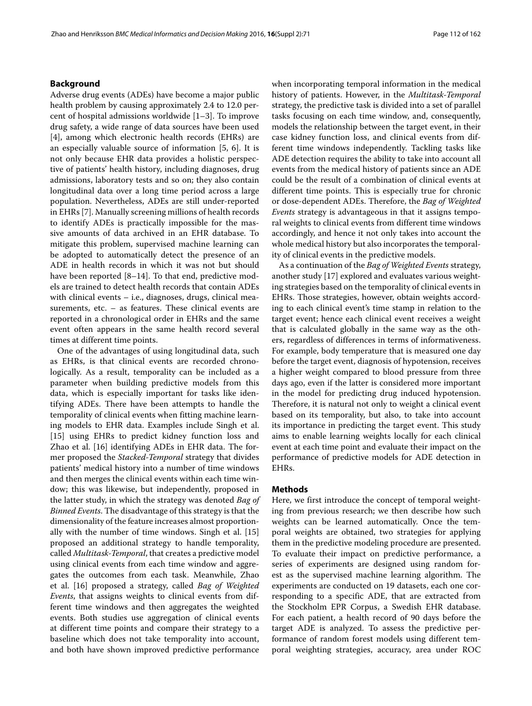## **Background**

Adverse drug events (ADEs) have become a major public health problem by causing approximately 2.4 to 12.0 percent of hospital admissions worldwide [\[1–](#page-10-0)[3\]](#page-10-1). To improve drug safety, a wide range of data sources have been used [\[4\]](#page-10-2), among which electronic health records (EHRs) are an especially valuable source of information [\[5,](#page-10-3) [6\]](#page-10-4). It is not only because EHR data provides a holistic perspective of patients' health history, including diagnoses, drug admissions, laboratory tests and so on; they also contain longitudinal data over a long time period across a large population. Nevertheless, ADEs are still under-reported in EHRs [\[7\]](#page-10-5). Manually screening millions of health records to identify ADEs is practically impossible for the massive amounts of data archived in an EHR database. To mitigate this problem, supervised machine learning can be adopted to automatically detect the presence of an ADE in health records in which it was not but should have been reported [8-[14\]](#page-10-7). To that end, predictive models are trained to detect health records that contain ADEs with clinical events – i.e., diagnoses, drugs, clinical measurements, etc. – as features. These clinical events are reported in a chronological order in EHRs and the same event often appears in the same health record several times at different time points.

One of the advantages of using longitudinal data, such as EHRs, is that clinical events are recorded chronologically. As a result, temporality can be included as a parameter when building predictive models from this data, which is especially important for tasks like identifying ADEs. There have been attempts to handle the temporality of clinical events when fitting machine learning models to EHR data. Examples include Singh et al. [\[15\]](#page-10-8) using EHRs to predict kidney function loss and Zhao et al. [\[16\]](#page-10-9) identifying ADEs in EHR data. The former proposed the *Stacked-Temporal* strategy that divides patients' medical history into a number of time windows and then merges the clinical events within each time window; this was likewise, but independently, proposed in the latter study, in which the strategy was denoted *Bag of Binned Events*. The disadvantage of this strategy is that the dimensionality of the feature increases almost proportionally with the number of time windows. Singh et al. [\[15\]](#page-10-8) proposed an additional strategy to handle temporality, called *Multitask-Temporal*, that creates a predictive model using clinical events from each time window and aggregates the outcomes from each task. Meanwhile, Zhao et al. [\[16\]](#page-10-9) proposed a strategy, called *Bag of Weighted Events*, that assigns weights to clinical events from different time windows and then aggregates the weighted events. Both studies use aggregation of clinical events at different time points and compare their strategy to a baseline which does not take temporality into account, and both have shown improved predictive performance

when incorporating temporal information in the medical history of patients. However, in the *Multitask-Temporal* strategy, the predictive task is divided into a set of parallel tasks focusing on each time window, and, consequently, models the relationship between the target event, in their case kidney function loss, and clinical events from different time windows independently. Tackling tasks like ADE detection requires the ability to take into account all events from the medical history of patients since an ADE could be the result of a combination of clinical events at different time points. This is especially true for chronic or dose-dependent ADEs. Therefore, the *Bag of Weighted Events* strategy is advantageous in that it assigns temporal weights to clinical events from different time windows accordingly, and hence it not only takes into account the whole medical history but also incorporates the temporality of clinical events in the predictive models.

As a continuation of the *Bag of Weighted Events* strategy, another study [\[17\]](#page-10-10) explored and evaluates various weighting strategies based on the temporality of clinical events in EHRs. Those strategies, however, obtain weights according to each clinical event's time stamp in relation to the target event; hence each clinical event receives a weight that is calculated globally in the same way as the others, regardless of differences in terms of informativeness. For example, body temperature that is measured one day before the target event, diagnosis of hypotension, receives a higher weight compared to blood pressure from three days ago, even if the latter is considered more important in the model for predicting drug induced hypotension. Therefore, it is natural not only to weight a clinical event based on its temporality, but also, to take into account its importance in predicting the target event. This study aims to enable learning weights locally for each clinical event at each time point and evaluate their impact on the performance of predictive models for ADE detection in EHRs.

## **Methods**

Here, we first introduce the concept of temporal weighting from previous research; we then describe how such weights can be learned automatically. Once the temporal weights are obtained, two strategies for applying them in the predictive modeling procedure are presented. To evaluate their impact on predictive performance, a series of experiments are designed using random forest as the supervised machine learning algorithm. The experiments are conducted on 19 datasets, each one corresponding to a specific ADE, that are extracted from the Stockholm EPR Corpus, a Swedish EHR database. For each patient, a health record of 90 days before the target ADE is analyzed. To assess the predictive performance of random forest models using different temporal weighting strategies, accuracy, area under ROC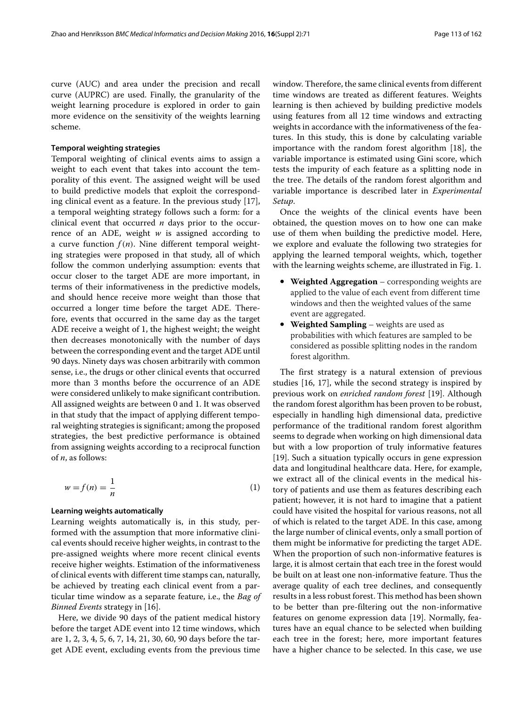curve (AUC) and area under the precision and recall curve (AUPRC) are used. Finally, the granularity of the weight learning procedure is explored in order to gain more evidence on the sensitivity of the weights learning scheme.

## **Temporal weighting strategies**

Temporal weighting of clinical events aims to assign a weight to each event that takes into account the temporality of this event. The assigned weight will be used to build predictive models that exploit the corresponding clinical event as a feature. In the previous study [\[17\]](#page-10-10), a temporal weighting strategy follows such a form: for a clinical event that occurred *n* days prior to the occurrence of an ADE, weight *w* is assigned according to a curve function  $f(n)$ . Nine different temporal weighting strategies were proposed in that study, all of which follow the common underlying assumption: events that occur closer to the target ADE are more important, in terms of their informativeness in the predictive models, and should hence receive more weight than those that occurred a longer time before the target ADE. Therefore, events that occurred in the same day as the target ADE receive a weight of 1, the highest weight; the weight then decreases monotonically with the number of days between the corresponding event and the target ADE until 90 days. Ninety days was chosen arbitrarily with common sense, i.e., the drugs or other clinical events that occurred more than 3 months before the occurrence of an ADE were considered unlikely to make significant contribution. All assigned weights are between 0 and 1. It was observed in that study that the impact of applying different temporal weighting strategies is significant; among the proposed strategies, the best predictive performance is obtained from assigning weights according to a reciprocal function of *n*, as follows:

<span id="page-2-0"></span>
$$
w = f(n) = \frac{1}{n} \tag{1}
$$

## **Learning weights automatically**

Learning weights automatically is, in this study, performed with the assumption that more informative clinical events should receive higher weights, in contrast to the pre-assigned weights where more recent clinical events receive higher weights. Estimation of the informativeness of clinical events with different time stamps can, naturally, be achieved by treating each clinical event from a particular time window as a separate feature, i.e., the *Bag of Binned Events* strategy in [\[16\]](#page-10-9).

Here, we divide 90 days of the patient medical history before the target ADE event into 12 time windows, which are 1, 2, 3, 4, 5, 6, 7, 14, 21, 30, 60, 90 days before the target ADE event, excluding events from the previous time

window. Therefore, the same clinical events from different time windows are treated as different features. Weights learning is then achieved by building predictive models using features from all 12 time windows and extracting weights in accordance with the informativeness of the features. In this study, this is done by calculating variable importance with the random forest algorithm [\[18\]](#page-10-11), the variable importance is estimated using Gini score, which tests the impurity of each feature as a splitting node in the tree. The details of the random forest algorithm and variable importance is described later in *Experimental Setup*.

Once the weights of the clinical events have been obtained, the question moves on to how one can make use of them when building the predictive model. Here, we explore and evaluate the following two strategies for applying the learned temporal weights, which, together with the learning weights scheme, are illustrated in Fig. [1.](#page-3-0)

- **Weighted Aggregation** corresponding weights are applied to the value of each event from different time windows and then the weighted values of the same event are aggregated.
- **Weighted Sampling** weights are used as probabilities with which features are sampled to be considered as possible splitting nodes in the random forest algorithm.

The first strategy is a natural extension of previous studies [\[16,](#page-10-9) [17\]](#page-10-10), while the second strategy is inspired by previous work on *enriched random forest* [\[19\]](#page-10-12). Although the random forest algorithm has been proven to be robust, especially in handling high dimensional data, predictive performance of the traditional random forest algorithm seems to degrade when working on high dimensional data but with a low proportion of truly informative features [\[19\]](#page-10-12). Such a situation typically occurs in gene expression data and longitudinal healthcare data. Here, for example, we extract all of the clinical events in the medical history of patients and use them as features describing each patient; however, it is not hard to imagine that a patient could have visited the hospital for various reasons, not all of which is related to the target ADE. In this case, among the large number of clinical events, only a small portion of them might be informative for predicting the target ADE. When the proportion of such non-informative features is large, it is almost certain that each tree in the forest would be built on at least one non-informative feature. Thus the average quality of each tree declines, and consequently results in a less robust forest. This method has been shown to be better than pre-filtering out the non-informative features on genome expression data [\[19\]](#page-10-12). Normally, features have an equal chance to be selected when building each tree in the forest; here, more important features have a higher chance to be selected. In this case, we use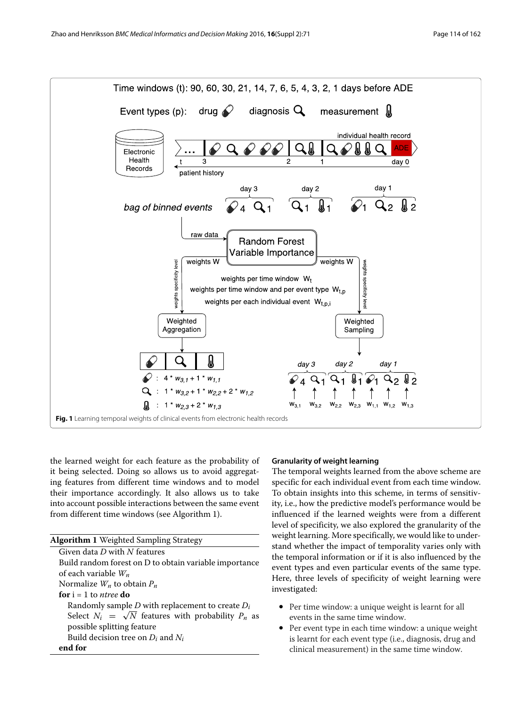

<span id="page-3-0"></span>the learned weight for each feature as the probability of it being selected. Doing so allows us to avoid aggregating features from different time windows and to model their importance accordingly. It also allows us to take into account possible interactions between the same event from different time windows (see Algorithm [1\)](#page-3-1).

<span id="page-3-1"></span>

| <b>Algorithm 1</b> Weighted Sampling Strategy              |
|------------------------------------------------------------|
| Given data $D$ with $N$ features                           |
| Build random forest on D to obtain variable importance     |
| of each variable $W_n$                                     |
| Normalize $W_n$ to obtain $P_n$                            |
| for $i = 1$ to <i>ntree</i> do                             |
| Randomly sample D with replacement to create $D_i$         |
| Select $N_i = \sqrt{N}$ features with probability $P_n$ as |
| possible splitting feature                                 |
| Build decision tree on $D_i$ and $N_i$                     |
| end for                                                    |
|                                                            |

## **Granularity of weight learning**

The temporal weights learned from the above scheme are specific for each individual event from each time window. To obtain insights into this scheme, in terms of sensitivity, i.e., how the predictive model's performance would be influenced if the learned weights were from a different level of specificity, we also explored the granularity of the weight learning. More specifically, we would like to understand whether the impact of temporality varies only with the temporal information or if it is also influenced by the event types and even particular events of the same type. Here, three levels of specificity of weight learning were investigated:

- Per time window: a unique weight is learnt for all events in the same time window.
- Per event type in each time window: a unique weight is learnt for each event type (i.e., diagnosis, drug and clinical measurement) in the same time window.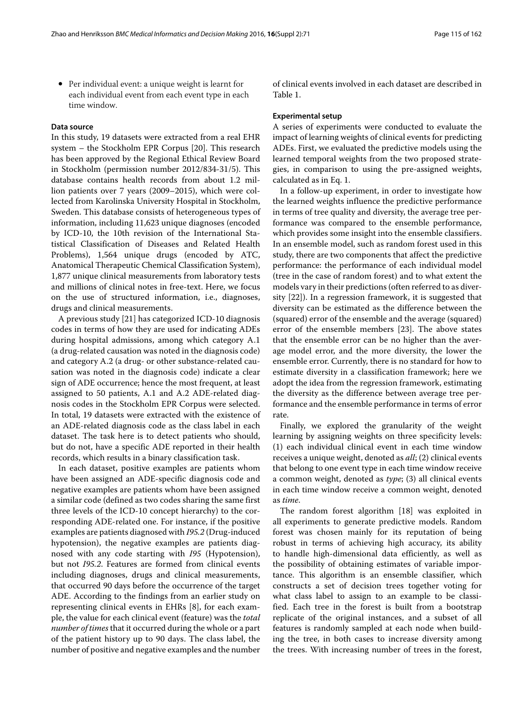• Per individual event: a unique weight is learnt for each individual event from each event type in each time window.

## **Data source**

In this study, 19 datasets were extracted from a real EHR system – the Stockholm EPR Corpus [\[20\]](#page-10-13). This research has been approved by the Regional Ethical Review Board in Stockholm (permission number 2012/834-31/5). This database contains health records from about 1.2 million patients over 7 years (2009–2015), which were collected from Karolinska University Hospital in Stockholm, Sweden. This database consists of heterogeneous types of information, including 11,623 unique diagnoses (encoded by ICD-10, the 10th revision of the International Statistical Classification of Diseases and Related Health Problems), 1,564 unique drugs (encoded by ATC, Anatomical Therapeutic Chemical Classification System), 1,877 unique clinical measurements from laboratory tests and millions of clinical notes in free-text. Here, we focus on the use of structured information, i.e., diagnoses, drugs and clinical measurements.

A previous study [\[21\]](#page-10-14) has categorized ICD-10 diagnosis codes in terms of how they are used for indicating ADEs during hospital admissions, among which category A.1 (a drug-related causation was noted in the diagnosis code) and category A.2 (a drug- or other substance-related causation was noted in the diagnosis code) indicate a clear sign of ADE occurrence; hence the most frequent, at least assigned to 50 patients, A.1 and A.2 ADE-related diagnosis codes in the Stockholm EPR Corpus were selected. In total, 19 datasets were extracted with the existence of an ADE-related diagnosis code as the class label in each dataset. The task here is to detect patients who should, but do not, have a specific ADE reported in their health records, which results in a binary classification task.

In each dataset, positive examples are patients whom have been assigned an ADE-specific diagnosis code and negative examples are patients whom have been assigned a similar code (defined as two codes sharing the same first three levels of the ICD-10 concept hierarchy) to the corresponding ADE-related one. For instance, if the positive examples are patients diagnosed with *I95.2* (Drug-induced hypotension), the negative examples are patients diagnosed with any code starting with *I95* (Hypotension), but not *I95.2*. Features are formed from clinical events including diagnoses, drugs and clinical measurements, that occurred 90 days before the occurrence of the target ADE. According to the findings from an earlier study on representing clinical events in EHRs [\[8\]](#page-10-6), for each example, the value for each clinical event (feature) was the *total number of times* that it occurred during the whole or a part of the patient history up to 90 days. The class label, the number of positive and negative examples and the number

of clinical events involved in each dataset are described in Table [1.](#page-5-0)

## **Experimental setup**

A series of experiments were conducted to evaluate the impact of learning weights of clinical events for predicting ADEs. First, we evaluated the predictive models using the learned temporal weights from the two proposed strategies, in comparison to using the pre-assigned weights, calculated as in Eq. [1.](#page-2-0)

In a follow-up experiment, in order to investigate how the learned weights influence the predictive performance in terms of tree quality and diversity, the average tree performance was compared to the ensemble performance, which provides some insight into the ensemble classifiers. In an ensemble model, such as random forest used in this study, there are two components that affect the predictive performance: the performance of each individual model (tree in the case of random forest) and to what extent the models vary in their predictions (often referred to as diversity [\[22\]](#page-10-15)). In a regression framework, it is suggested that diversity can be estimated as the difference between the (squared) error of the ensemble and the average (squared) error of the ensemble members [\[23\]](#page-10-16). The above states that the ensemble error can be no higher than the average model error, and the more diversity, the lower the ensemble error. Currently, there is no standard for how to estimate diversity in a classification framework; here we adopt the idea from the regression framework, estimating the diversity as the difference between average tree performance and the ensemble performance in terms of error rate.

Finally, we explored the granularity of the weight learning by assigning weights on three specificity levels: (1) each individual clinical event in each time window receives a unique weight, denoted as *all*; (2) clinical events that belong to one event type in each time window receive a common weight, denoted as *type*; (3) all clinical events in each time window receive a common weight, denoted as *time*.

The random forest algorithm [\[18\]](#page-10-11) was exploited in all experiments to generate predictive models. Random forest was chosen mainly for its reputation of being robust in terms of achieving high accuracy, its ability to handle high-dimensional data efficiently, as well as the possibility of obtaining estimates of variable importance. This algorithm is an ensemble classifier, which constructs a set of decision trees together voting for what class label to assign to an example to be classified. Each tree in the forest is built from a bootstrap replicate of the original instances, and a subset of all features is randomly sampled at each node when building the tree, in both cases to increase diversity among the trees. With increasing number of trees in the forest,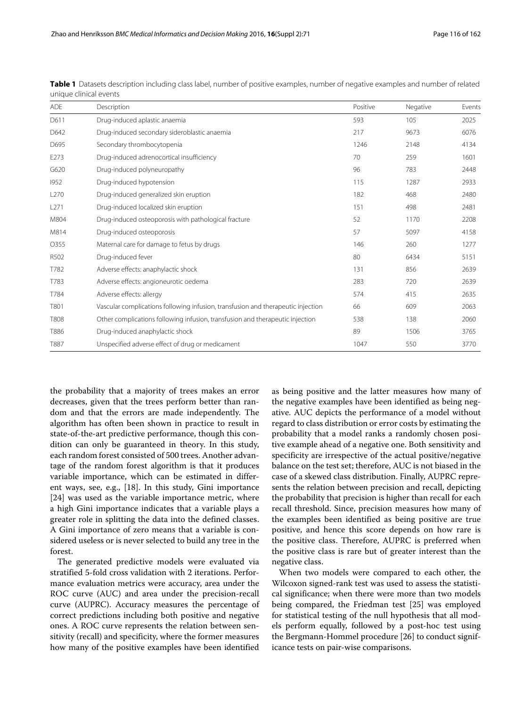| ADE              | Description                                                                      | Positive | Negative | Events |
|------------------|----------------------------------------------------------------------------------|----------|----------|--------|
| D611             | Drug-induced aplastic anaemia                                                    | 593      | 105      | 2025   |
| D642             | Drug-induced secondary sideroblastic anaemia                                     | 217      | 9673     | 6076   |
| D695             | Secondary thrombocytopenia                                                       | 1246     | 2148     | 4134   |
| E273             | Drug-induced adrenocortical insufficiency                                        | 70       | 259      | 1601   |
| G620             | Drug-induced polyneuropathy                                                      | 96       | 783      | 2448   |
| 1952             | Drug-induced hypotension                                                         | 115      | 1287     | 2933   |
| L270             | Drug-induced generalized skin eruption                                           | 182      | 468      | 2480   |
| L <sub>271</sub> | Drug-induced localized skin eruption                                             | 151      | 498      | 2481   |
| M804             | Drug-induced osteoporosis with pathological fracture                             | 52       | 1170     | 2208   |
| M814             | Drug-induced osteoporosis                                                        | 57       | 5097     | 4158   |
| O355             | Maternal care for damage to fetus by drugs                                       | 146      | 260      | 1277   |
| R502             | Drug-induced fever                                                               | 80       | 6434     | 5151   |
| T782             | Adverse effects: anaphylactic shock                                              | 131      | 856      | 2639   |
| T783             | Adverse effects: angioneurotic oedema                                            | 283      | 720      | 2639   |
| T784             | Adverse effects: allergy                                                         | 574      | 415      | 2635   |
| T801             | Vascular complications following infusion, transfusion and therapeutic injection | 66       | 609      | 2063   |
| <b>T808</b>      | Other complications following infusion, transfusion and therapeutic injection    | 538      | 138      | 2060   |
| T886             | Drug-induced anaphylactic shock                                                  | 89       | 1506     | 3765   |
| T887             | Unspecified adverse effect of drug or medicament                                 | 1047     | 550      | 3770   |

<span id="page-5-0"></span>**Table 1** Datasets description including class label, number of positive examples, number of negative examples and number of related unique clinical events

the probability that a majority of trees makes an error decreases, given that the trees perform better than random and that the errors are made independently. The algorithm has often been shown in practice to result in state-of-the-art predictive performance, though this condition can only be guaranteed in theory. In this study, each random forest consisted of 500 trees. Another advantage of the random forest algorithm is that it produces variable importance, which can be estimated in different ways, see, e.g., [\[18\]](#page-10-11). In this study, Gini importance [\[24\]](#page-10-17) was used as the variable importance metric, where a high Gini importance indicates that a variable plays a greater role in splitting the data into the defined classes. A Gini importance of zero means that a variable is considered useless or is never selected to build any tree in the forest.

The generated predictive models were evaluated via stratified 5-fold cross validation with 2 iterations. Performance evaluation metrics were accuracy, area under the ROC curve (AUC) and area under the precision-recall curve (AUPRC). Accuracy measures the percentage of correct predictions including both positive and negative ones. A ROC curve represents the relation between sensitivity (recall) and specificity, where the former measures how many of the positive examples have been identified as being positive and the latter measures how many of the negative examples have been identified as being negative. AUC depicts the performance of a model without regard to class distribution or error costs by estimating the probability that a model ranks a randomly chosen positive example ahead of a negative one. Both sensitivity and specificity are irrespective of the actual positive/negative balance on the test set; therefore, AUC is not biased in the case of a skewed class distribution. Finally, AUPRC represents the relation between precision and recall, depicting the probability that precision is higher than recall for each recall threshold. Since, precision measures how many of the examples been identified as being positive are true positive, and hence this score depends on how rare is the positive class. Therefore, AUPRC is preferred when the positive class is rare but of greater interest than the negative class.

When two models were compared to each other, the Wilcoxon signed-rank test was used to assess the statistical significance; when there were more than two models being compared, the Friedman test [\[25\]](#page-10-18) was employed for statistical testing of the null hypothesis that all models perform equally, followed by a post-hoc test using the Bergmann-Hommel procedure [\[26\]](#page-10-19) to conduct significance tests on pair-wise comparisons.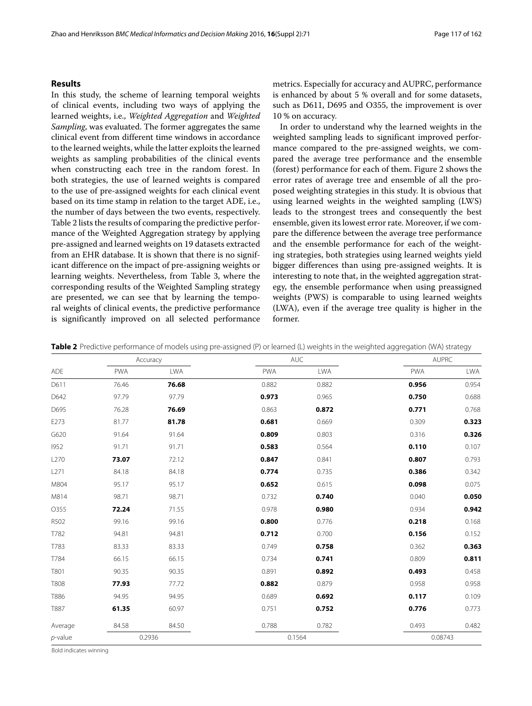## **Results**

In this study, the scheme of learning temporal weights of clinical events, including two ways of applying the learned weights, i.e., *Weighted Aggregation* and *Weighted Sampling*, was evaluated. The former aggregates the same clinical event from different time windows in accordance to the learned weights, while the latter exploits the learned weights as sampling probabilities of the clinical events when constructing each tree in the random forest. In both strategies, the use of learned weights is compared to the use of pre-assigned weights for each clinical event based on its time stamp in relation to the target ADE, i.e., the number of days between the two events, respectively. Table [2](#page-6-0) lists the results of comparing the predictive performance of the Weighted Aggregation strategy by applying pre-assigned and learned weights on 19 datasets extracted from an EHR database. It is shown that there is no significant difference on the impact of pre-assigning weights or learning weights. Nevertheless, from Table [3,](#page-7-0) where the corresponding results of the Weighted Sampling strategy are presented, we can see that by learning the temporal weights of clinical events, the predictive performance is significantly improved on all selected performance

metrics. Especially for accuracy and AUPRC, performance is enhanced by about 5 % overall and for some datasets, such as D611, D695 and O355, the improvement is over 10 % on accuracy.

In order to understand why the learned weights in the weighted sampling leads to significant improved performance compared to the pre-assigned weights, we compared the average tree performance and the ensemble (forest) performance for each of them. Figure [2](#page-7-1) shows the error rates of average tree and ensemble of all the proposed weighting strategies in this study. It is obvious that using learned weights in the weighted sampling (LWS) leads to the strongest trees and consequently the best ensemble, given its lowest error rate. Moreover, if we compare the difference between the average tree performance and the ensemble performance for each of the weighting strategies, both strategies using learned weights yield bigger differences than using pre-assigned weights. It is interesting to note that, in the weighted aggregation strategy, the ensemble performance when using preassigned weights (PWS) is comparable to using learned weights (LWA), even if the average tree quality is higher in the former.

<span id="page-6-0"></span>

|  |  | Table 2 Predictive performance of models using pre-assigned (P) or learned (L) weights in the weighted aggregation (WA) strategy |  |
|--|--|----------------------------------------------------------------------------------------------------------------------------------|--|
|  |  |                                                                                                                                  |  |

|                  | Accuracy   |            | <b>AUC</b> |            | <b>AUPRC</b> |       |
|------------------|------------|------------|------------|------------|--------------|-------|
| ADE              | <b>PWA</b> | <b>LWA</b> | <b>PWA</b> | <b>LWA</b> | <b>PWA</b>   | LWA   |
| D611             | 76.46      | 76.68      | 0.882      | 0.882      | 0.956        | 0.954 |
| D642             | 97.79      | 97.79      | 0.973      | 0.965      | 0.750        | 0.688 |
| D695             | 76.28      | 76.69      | 0.863      | 0.872      | 0.771        | 0.768 |
| E273             | 81.77      | 81.78      | 0.681      | 0.669      | 0.309        | 0.323 |
| G620             | 91.64      | 91.64      | 0.809      | 0.803      | 0.316        | 0.326 |
| 1952             | 91.71      | 91.71      | 0.583      | 0.564      | 0.110        | 0.107 |
| L270             | 73.07      | 72.12      | 0.847      | 0.841      | 0.807        | 0.793 |
| L <sub>271</sub> | 84.18      | 84.18      | 0.774      | 0.735      | 0.386        | 0.342 |
| M804             | 95.17      | 95.17      | 0.652      | 0.615      | 0.098        | 0.075 |
| M814             | 98.71      | 98.71      | 0.732      | 0.740      | 0.040        | 0.050 |
| O355             | 72.24      | 71.55      | 0.978      | 0.980      | 0.934        | 0.942 |
| R502             | 99.16      | 99.16      | 0.800      | 0.776      | 0.218        | 0.168 |
| T782             | 94.81      | 94.81      | 0.712      | 0.700      | 0.156        | 0.152 |
| T783             | 83.33      | 83.33      | 0.749      | 0.758      | 0.362        | 0.363 |
| T784             | 66.15      | 66.15      | 0.734      | 0.741      | 0.809        | 0.811 |
| T801             | 90.35      | 90.35      | 0.891      | 0.892      | 0.493        | 0.458 |
| T808             | 77.93      | 77.72      | 0.882      | 0.879      | 0.958        | 0.958 |
| T886             | 94.95      | 94.95      | 0.689      | 0.692      | 0.117        | 0.109 |
| T887             | 61.35      | 60.97      | 0.751      | 0.752      | 0.776        | 0.773 |
| Average          | 84.58      | 84.50      | 0.788      | 0.782      | 0.493        | 0.482 |
| $p$ -value       |            | 0.2936     |            | 0.1564     | 0.08743      |       |

Bold indicates winning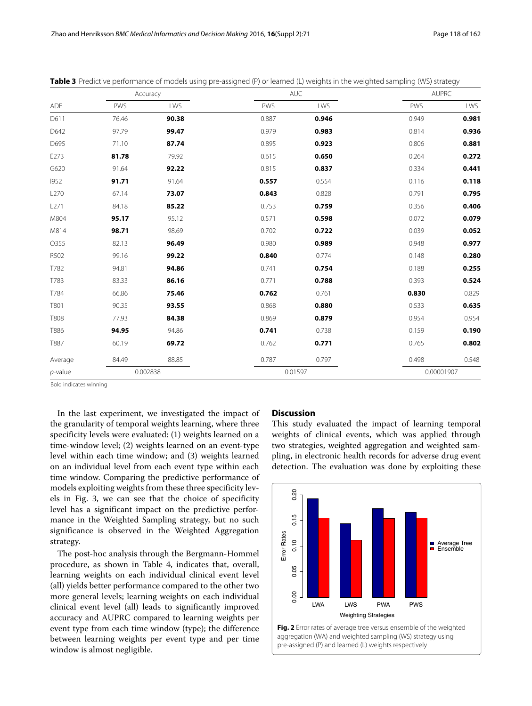|            | Accuracy   |            | <b>AUC</b> |            | <b>AUPRC</b> |            |
|------------|------------|------------|------------|------------|--------------|------------|
| ADE        | <b>PWS</b> | <b>LWS</b> | <b>PWS</b> | <b>LWS</b> | <b>PWS</b>   | <b>LWS</b> |
| D611       | 76.46      | 90.38      | 0.887      | 0.946      | 0.949        | 0.981      |
| D642       | 97.79      | 99.47      | 0.979      | 0.983      | 0.814        | 0.936      |
| D695       | 71.10      | 87.74      | 0.895      | 0.923      | 0.806        | 0.881      |
| E273       | 81.78      | 79.92      | 0.615      | 0.650      | 0.264        | 0.272      |
| G620       | 91.64      | 92.22      | 0.815      | 0.837      | 0.334        | 0.441      |
| 1952       | 91.71      | 91.64      | 0.557      | 0.554      | 0.116        | 0.118      |
| L270       | 67.14      | 73.07      | 0.843      | 0.828      | 0.791        | 0.795      |
| L271       | 84.18      | 85.22      | 0.753      | 0.759      | 0.356        | 0.406      |
| M804       | 95.17      | 95.12      | 0.571      | 0.598      | 0.072        | 0.079      |
| M814       | 98.71      | 98.69      | 0.702      | 0.722      | 0.039        | 0.052      |
| O355       | 82.13      | 96.49      | 0.980      | 0.989      | 0.948        | 0.977      |
| R502       | 99.16      | 99.22      | 0.840      | 0.774      | 0.148        | 0.280      |
| T782       | 94.81      | 94.86      | 0.741      | 0.754      | 0.188        | 0.255      |
| T783       | 83.33      | 86.16      | 0.771      | 0.788      | 0.393        | 0.524      |
| T784       | 66.86      | 75.46      | 0.762      | 0.761      | 0.830        | 0.829      |
| T801       | 90.35      | 93.55      | 0.868      | 0.880      | 0.533        | 0.635      |
| T808       | 77.93      | 84.38      | 0.869      | 0.879      | 0.954        | 0.954      |
| T886       | 94.95      | 94.86      | 0.741      | 0.738      | 0.159        | 0.190      |
| T887       | 60.19      | 69.72      | 0.762      | 0.771      | 0.765        | 0.802      |
| Average    | 84.49      | 88.85      | 0.787      | 0.797      | 0.498        | 0.548      |
| $p$ -value |            | 0.002838   |            | 0.01597    | 0.00001907   |            |

<span id="page-7-0"></span>**Table 3** Predictive performance of models using pre-assigned (P) or learned (L) weights in the weighted sampling (WS) strategy

Bold indicates winning

In the last experiment, we investigated the impact of the granularity of temporal weights learning, where three specificity levels were evaluated: (1) weights learned on a time-window level; (2) weights learned on an event-type level within each time window; and (3) weights learned on an individual level from each event type within each time window. Comparing the predictive performance of models exploiting weights from these three specificity levels in Fig. [3,](#page-8-0) we can see that the choice of specificity level has a significant impact on the predictive performance in the Weighted Sampling strategy, but no such significance is observed in the Weighted Aggregation strategy.

The post-hoc analysis through the Bergmann-Hommel procedure, as shown in Table [4,](#page-8-1) indicates that, overall, learning weights on each individual clinical event level (all) yields better performance compared to the other two more general levels; learning weights on each individual clinical event level (all) leads to significantly improved accuracy and AUPRC compared to learning weights per event type from each time window (type); the difference between learning weights per event type and per time window is almost negligible.

## **Discussion**

This study evaluated the impact of learning temporal weights of clinical events, which was applied through two strategies, weighted aggregation and weighted sampling, in electronic health records for adverse drug event detection. The evaluation was done by exploiting these



<span id="page-7-1"></span>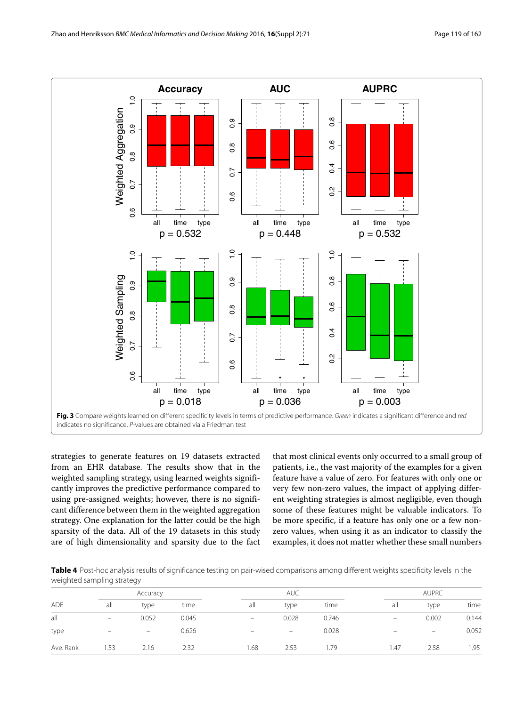

<span id="page-8-0"></span>strategies to generate features on 19 datasets extracted from an EHR database. The results show that in the weighted sampling strategy, using learned weights significantly improves the predictive performance compared to using pre-assigned weights; however, there is no significant difference between them in the weighted aggregation strategy. One explanation for the latter could be the high sparsity of the data. All of the 19 datasets in this study are of high dimensionality and sparsity due to the fact

that most clinical events only occurred to a small group of patients, i.e., the vast majority of the examples for a given feature have a value of zero. For features with only one or very few non-zero values, the impact of applying different weighting strategies is almost negligible, even though some of these features might be valuable indicators. To be more specific, if a feature has only one or a few nonzero values, when using it as an indicator to classify the examples, it does not matter whether these small numbers

<span id="page-8-1"></span>Table 4 Post-hoc analysis results of significance testing on pair-wised comparisons among different weights specificity levels in the weighted sampling strategy

| ADE       | Accuracy                 |                          |       | <b>AUC</b>        |                          |       | <b>AUPRC</b>             |                          |       |
|-----------|--------------------------|--------------------------|-------|-------------------|--------------------------|-------|--------------------------|--------------------------|-------|
|           | all                      | type                     | time  | all               | type                     | time  | all                      | type                     | time  |
| all       | $\overline{\phantom{m}}$ | 0.052                    | 0.045 | $\qquad \qquad =$ | 0.028                    | 0.746 | $\overline{\phantom{m}}$ | 0.002                    | 0.144 |
| type      | $\qquad \qquad -$        | $\overline{\phantom{m}}$ | 0.626 | $\qquad \qquad$   | $\overline{\phantom{m}}$ | 0.028 | $\qquad \qquad -$        | $\overline{\phantom{m}}$ | 0.052 |
| Ave. Rank | 1.53                     | 2.16                     | 2.32  | 1.68              | 2.53                     | 1.79  | 1.47                     | 2.58                     | 1.95  |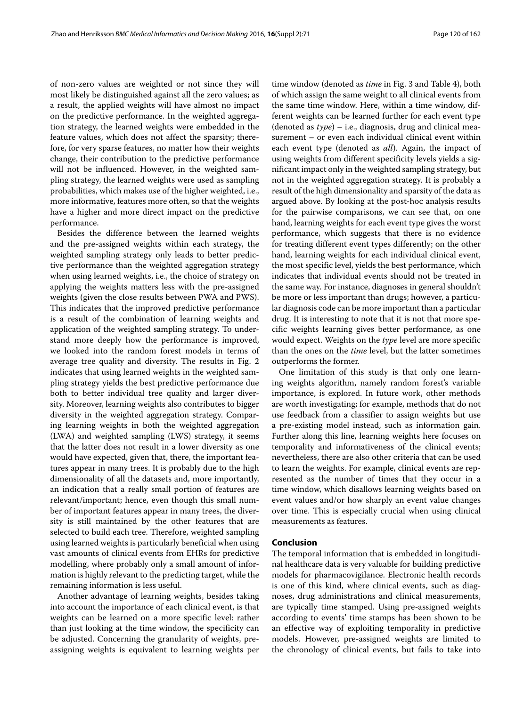of non-zero values are weighted or not since they will most likely be distinguished against all the zero values; as a result, the applied weights will have almost no impact on the predictive performance. In the weighted aggregation strategy, the learned weights were embedded in the feature values, which does not affect the sparsity; therefore, for very sparse features, no matter how their weights change, their contribution to the predictive performance will not be influenced. However, in the weighted sampling strategy, the learned weights were used as sampling probabilities, which makes use of the higher weighted, i.e., more informative, features more often, so that the weights have a higher and more direct impact on the predictive performance.

Besides the difference between the learned weights and the pre-assigned weights within each strategy, the weighted sampling strategy only leads to better predictive performance than the weighted aggregation strategy when using learned weights, i.e., the choice of strategy on applying the weights matters less with the pre-assigned weights (given the close results between PWA and PWS). This indicates that the improved predictive performance is a result of the combination of learning weights and application of the weighted sampling strategy. To understand more deeply how the performance is improved, we looked into the random forest models in terms of average tree quality and diversity. The results in Fig. [2](#page-7-1) indicates that using learned weights in the weighted sampling strategy yields the best predictive performance due both to better individual tree quality and larger diversity. Moreover, learning weights also contributes to bigger diversity in the weighted aggregation strategy. Comparing learning weights in both the weighted aggregation (LWA) and weighted sampling (LWS) strategy, it seems that the latter does not result in a lower diversity as one would have expected, given that, there, the important features appear in many trees. It is probably due to the high dimensionality of all the datasets and, more importantly, an indication that a really small portion of features are relevant/important; hence, even though this small number of important features appear in many trees, the diversity is still maintained by the other features that are selected to build each tree. Therefore, weighted sampling using learned weights is particularly beneficial when using vast amounts of clinical events from EHRs for predictive modelling, where probably only a small amount of information is highly relevant to the predicting target, while the remaining information is less useful.

Another advantage of learning weights, besides taking into account the importance of each clinical event, is that weights can be learned on a more specific level: rather than just looking at the time window, the specificity can be adjusted. Concerning the granularity of weights, preassigning weights is equivalent to learning weights per time window (denoted as *time* in Fig. [3](#page-8-0) and Table [4\)](#page-8-1), both of which assign the same weight to all clinical events from the same time window. Here, within a time window, different weights can be learned further for each event type (denoted as *type*) – i.e., diagnosis, drug and clinical measurement – or even each individual clinical event within each event type (denoted as *all*). Again, the impact of using weights from different specificity levels yields a significant impact only in the weighted sampling strategy, but not in the weighted aggregation strategy. It is probably a result of the high dimensionality and sparsity of the data as argued above. By looking at the post-hoc analysis results for the pairwise comparisons, we can see that, on one hand, learning weights for each event type gives the worst performance, which suggests that there is no evidence for treating different event types differently; on the other hand, learning weights for each individual clinical event, the most specific level, yields the best performance, which indicates that individual events should not be treated in the same way. For instance, diagnoses in general shouldn't be more or less important than drugs; however, a particular diagnosis code can be more important than a particular drug. It is interesting to note that it is not that more specific weights learning gives better performance, as one would expect. Weights on the *type* level are more specific than the ones on the *time* level, but the latter sometimes outperforms the former.

One limitation of this study is that only one learning weights algorithm, namely random forest's variable importance, is explored. In future work, other methods are worth investigating; for example, methods that do not use feedback from a classifier to assign weights but use a pre-existing model instead, such as information gain. Further along this line, learning weights here focuses on temporality and informativeness of the clinical events; nevertheless, there are also other criteria that can be used to learn the weights. For example, clinical events are represented as the number of times that they occur in a time window, which disallows learning weights based on event values and/or how sharply an event value changes over time. This is especially crucial when using clinical measurements as features.

## **Conclusion**

The temporal information that is embedded in longitudinal healthcare data is very valuable for building predictive models for pharmacovigilance. Electronic health records is one of this kind, where clinical events, such as diagnoses, drug administrations and clinical measurements, are typically time stamped. Using pre-assigned weights according to events' time stamps has been shown to be an effective way of exploiting temporality in predictive models. However, pre-assigned weights are limited to the chronology of clinical events, but fails to take into